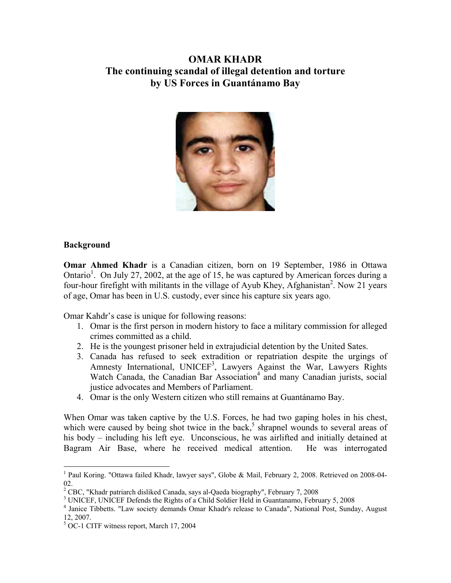# **OMAR KHADR The continuing scandal of illegal detention and torture by US Forces in Guantánamo Bay**



## **Background**

 $\overline{a}$ 

**Omar Ahmed Khadr** is a Canadian citizen, born on 19 September, 1986 in Ottawa Ontario<sup>1</sup>. On July 27, 2002, at the age of 15, he was captured by American forces during a four-hour firefight with militants in the village of Ayub Khey, Afghanistan<sup>2</sup>. Now 21 years of age, Omar has been in U.S. custody, ever since his capture six years ago.

Omar Kahdr's case is unique for following reasons:

- 1. Omar is the first person in modern history to face a military commission for alleged crimes committed as a child.
- 2. He is the youngest prisoner held in extrajudicial detention by the United Sates.
- 3. Canada has refused to seek extradition or repatriation despite the urgings of Amnesty International, UNICEF<sup>3</sup>, Lawyers Against the War, Lawyers Rights Watch Canada, the Canadian Bar Association<sup>4</sup> and many Canadian jurists, social justice advocates and Members of Parliament.
- 4. Omar is the only Western citizen who still remains at Guantánamo Bay.

When Omar was taken captive by the U.S. Forces, he had two gaping holes in his chest, which were caused by being shot twice in the back,<sup>5</sup> shrapnel wounds to several areas of his body – including his left eye. Unconscious, he was airlifted and initially detained at Bagram Air Base, where he received medical attention. He was interrogated

<sup>&</sup>lt;sup>1</sup> Paul Koring. "Ottawa failed Khadr, lawyer says", Globe & Mail, February 2, 2008. Retrieved on 2008-04-02.

<sup>&</sup>lt;sup>2</sup> CBC, "Khadr patriarch disliked Canada, says al-Qaeda biography", February 7, 2008<br><sup>3</sup> UNICEE UNICEE Defends the Bights of a Child Soldier Hold in Guartanome, February

<sup>&</sup>lt;sup>3</sup> UNICEF, UNICEF Defends the Rights of a Child Soldier Held in Guantanamo, February 5, 2008

Janice Tibbetts. "Law society demands Omar Khadr's release to Canada", National Post, Sunday, August 12, 2007.

<sup>&</sup>lt;sup>5</sup> OC-1 CITF witness report, March 17, 2004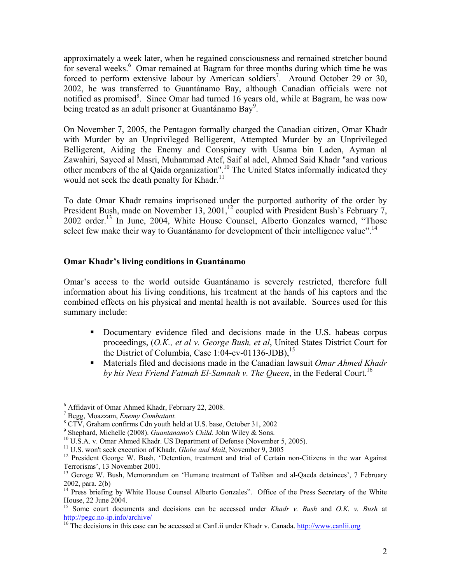approximately a week later, when he regained consciousness and remained stretcher bound for several weeks.<sup>6</sup> Omar remained at Bagram for three months during which time he was forced to perform extensive labour by American soldiers<sup>7</sup>. Around October 29 or 30, 2002, he was transferred to Guantánamo Bay, although Canadian officials were not notified as promised<sup>8</sup>. Since Omar had turned 16 years old, while at Bagram, he was now being treated as an adult prisoner at Guantánamo Bay<sup>9</sup>.

On November 7, 2005, the Pentagon formally charged the Canadian citizen, Omar Khadr with Murder by an Unprivileged Belligerent, Attempted Murder by an Unprivileged Belligerent, Aiding the Enemy and Conspiracy with Usama bin Laden, Ayman al Zawahiri, Sayeed al Masri, Muhammad Atef, Saif al adel, Ahmed Said Khadr "and various other members of the al Qaida organization".10 The United States informally indicated they would not seek the death penalty for Khadr.<sup>11</sup>

To date Omar Khadr remains imprisoned under the purported authority of the order by President Bush, made on November 13, 2001,<sup>12</sup> coupled with President Bush's February 7, 2002 order.<sup>13</sup> In June, 2004, White House Counsel, Alberto Gonzales warned, "Those select few make their way to Guantánamo for development of their intelligence value".<sup>14</sup>

#### **Omar Khadr's living conditions in Guantánamo**

Omar's access to the world outside Guantánamo is severely restricted, therefore full information about his living conditions, his treatment at the hands of his captors and the combined effects on his physical and mental health is not available. Sources used for this summary include:

- Documentary evidence filed and decisions made in the U.S. habeas corpus proceedings, (*O.K., et al v. George Bush, et al*, United States District Court for the District of Columbia, Case 1:04-cv-01136-JDB), $^{15}$
- Materials filed and decisions made in the Canadian lawsuit *Omar Ahmed Khadr by his Next Friend Fatmah El-Samnah v. The Queen,* in the Federal Court.<sup>16</sup>

<sup>6</sup> Affidavit of Omar Ahmed Khadr, February 22, 2008.

<sup>7</sup> Begg, Moazzam, *Enemy Combatant.* <sup>8</sup>

CTV, Graham confirms Cdn youth held at U.S. base, October 31, 2002

<sup>&</sup>lt;sup>9</sup> Shephard, Michelle (2008). *Guantanamo's Child*. John Wiley & Sons.

<sup>&</sup>lt;sup>10</sup> U.S.A. v. Omar Ahmed Khadr. US Department of Defense (November 5, 2005). <sup>11</sup> U.S. won't seek execution of Khadr, *Globe and Mail*, November 9, 2005

<sup>&</sup>lt;sup>12</sup> President George W. Bush, 'Detention, treatment and trial of Certain non-Citizens in the war Against Terrorisms', 13 November 2001.

<sup>&</sup>lt;sup>13</sup> Geroge W. Bush, Memorandum on 'Humane treatment of Taliban and al-Qaeda detainees', 7 February 2002, para. 2(b)

<sup>&</sup>lt;sup>14</sup> Press briefing by White House Counsel Alberto Gonzales". Office of the Press Secretary of the White House, 22 June 2004.

<sup>15</sup> Some court documents and decisions can be accessed under *Khadr v. Bush* and *O.K. v. Bush* at http://pegc.no-ip.info/archive/<br><sup>16</sup> The decisions in this case can be accessed at CanLii under Khadr v. Canada. http://www.canlii.org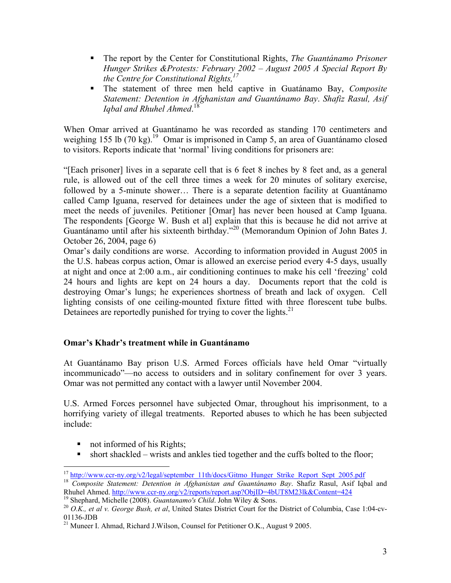- The report by the Center for Constitutional Rights, *The Guantánamo Prisoner Hunger Strikes &Protests: February 2002 – August 2005 A Special Report By the Centre for Constitutional Rights,17*
- The statement of three men held captive in Guatánamo Bay, *Composite Statement: Detention in Afghanistan and Guantánamo Bay*. *Shafiz Rasul, Asif Iqbal and Rhuhel Ahmed*. 18

When Omar arrived at Guantánamo he was recorded as standing 170 centimeters and weighing 155 lb  $(70 \text{ kg})$ .<sup>19</sup> Omar is imprisoned in Camp 5, an area of Guantánamo closed to visitors. Reports indicate that 'normal' living conditions for prisoners are:

"[Each prisoner] lives in a separate cell that is 6 feet 8 inches by 8 feet and, as a general rule, is allowed out of the cell three times a week for 20 minutes of solitary exercise, followed by a 5-minute shower… There is a separate detention facility at Guantánamo called Camp Iguana, reserved for detainees under the age of sixteen that is modified to meet the needs of juveniles. Petitioner [Omar] has never been housed at Camp Iguana. The respondents [George W. Bush et al] explain that this is because he did not arrive at Guantánamo until after his sixteenth birthday."20 (Memorandum Opinion of John Bates J. October 26, 2004, page 6)

Omar's daily conditions are worse. According to information provided in August 2005 in the U.S. habeas corpus action, Omar is allowed an exercise period every 4-5 days, usually at night and once at 2:00 a.m., air conditioning continues to make his cell 'freezing' cold 24 hours and lights are kept on 24 hours a day. Documents report that the cold is destroying Omar's lungs; he experiences shortness of breath and lack of oxygen. Cell lighting consists of one ceiling-mounted fixture fitted with three florescent tube bulbs. Detainees are reportedly punished for trying to cover the lights. $2<sup>1</sup>$ 

# **Omar's Khadr's treatment while in Guantánamo**

At Guantánamo Bay prison U.S. Armed Forces officials have held Omar "virtually incommunicado"—no access to outsiders and in solitary confinement for over 3 years. Omar was not permitted any contact with a lawyer until November 2004.

U.S. Armed Forces personnel have subjected Omar, throughout his imprisonment, to a horrifying variety of illegal treatments. Reported abuses to which he has been subjected include:

- not informed of his Rights;
- short shackled wrists and ankles tied together and the cuffs bolted to the floor;

 $\overline{a}$ 

<sup>&</sup>lt;sup>17</sup> http://www.ccr-ny.org/v2/legal/september\_11th/docs/Gitmo\_Hunger\_Strike\_Report\_Sept\_2005.pdf<br><sup>18</sup> *Composite Statement: Detention in Afghanistan and Guantánamo Bay*. Shafiz Rasul, Asif Iqbal and Rhuhel Ahmed. http://www.ccr-ny.org/v2/reports/report.asp?ObjID=4bUT8M23lk&Content=424<br><sup>19</sup> Shephard, Michelle (2008). *Guantanamo's Child*. John Wiley & Sons.<br><sup>20</sup> *O.K., et al v. George Bush, et al*, United States Distri

<sup>01136-</sup>JDB

<sup>&</sup>lt;sup>21</sup> Muneer I. Ahmad, Richard J.Wilson, Counsel for Petitioner O.K., August 9 2005.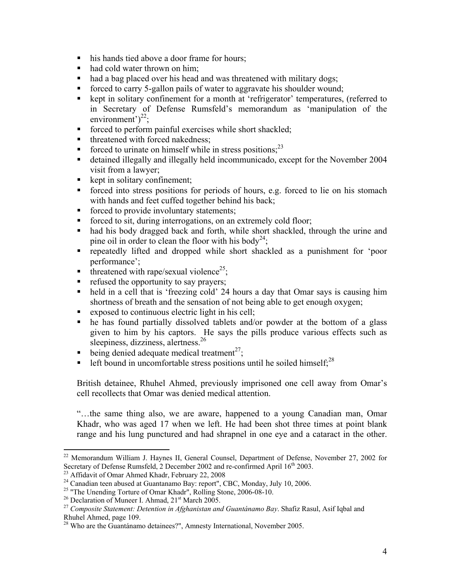- his hands tied above a door frame for hours;
- had cold water thrown on him;
- had a bag placed over his head and was threatened with military dogs;
- forced to carry 5-gallon pails of water to aggravate his shoulder wound;
- kept in solitary confinement for a month at 'refrigerator' temperatures, (referred to in Secretary of Defense Rumsfeld's memorandum as 'manipulation of the environment') $^{22}$ ;
- **forced to perform painful exercises while short shackled;**
- threatened with forced nakedness;
- Forced to urinate on himself while in stress positions:<sup>23</sup>
- detained illegally and illegally held incommunicado, except for the November 2004 visit from a lawyer;
- $\blacksquare$  kept in solitary confinement;
- forced into stress positions for periods of hours, e.g. forced to lie on his stomach with hands and feet cuffed together behind his back;
- forced to provide involuntary statements;
- forced to sit, during interrogations, on an extremely cold floor;
- had his body dragged back and forth, while short shackled, through the urine and pine oil in order to clean the floor with his body<sup>24</sup>;
- repeatedly lifted and dropped while short shackled as a punishment for 'poor performance';
- threatened with rape/sexual violence<sup>25</sup>;
- refused the opportunity to say prayers;
- held in a cell that is 'freezing cold' 24 hours a day that Omar says is causing him shortness of breath and the sensation of not being able to get enough oxygen;
- exposed to continuous electric light in his cell;
- he has found partially dissolved tablets and/or powder at the bottom of a glass given to him by his captors. He says the pills produce various effects such as sleepiness, dizziness, alertness.<sup>26</sup>
- being denied adequate medical treatment<sup>27</sup>;
- left bound in uncomfortable stress positions until he soiled himself; $^{28}$

British detainee, Rhuhel Ahmed, previously imprisoned one cell away from Omar's cell recollects that Omar was denied medical attention.

"…the same thing also, we are aware, happened to a young Canadian man, Omar Khadr, who was aged 17 when we left. He had been shot three times at point blank range and his lung punctured and had shrapnel in one eye and a cataract in the other.

<sup>&</sup>lt;sup>22</sup> Memorandum William J. Haynes II, General Counsel, Department of Defense, November 27, 2002 for Secretary of Defense Rumsfeld, 2 December 2002 and re-confirmed April 16<sup>th</sup> 2003.<br><sup>23</sup> Affidavit of Omar Ahmed Khadr, February 22, 2008

<sup>&</sup>lt;sup>24</sup> Canadian teen abused at Guantanamo Bay: report", CBC, Monday, July 10, 2006.

<sup>&</sup>lt;sup>25</sup> "The Unending Torture of Omar Khadr", Rolling Stone, 2006-08-10.<br><sup>26</sup> Declaration of Muneer I. Ahmad,  $21<sup>st</sup>$  March 2005.

<sup>&</sup>lt;sup>27</sup> Composite Statement: Detention in Afghanistan and Guantánamo Bay. Shafiz Rasul, Asif Iqbal and Rhuhel Ahmed, page 109.

<sup>&</sup>lt;sup>28</sup> Who are the Guantánamo detainees?", Amnesty International, November 2005.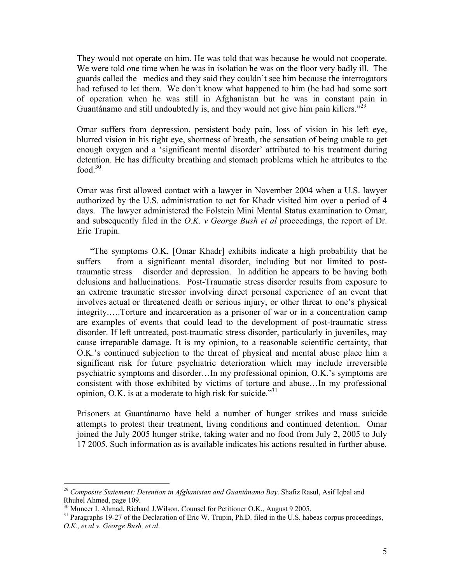They would not operate on him. He was told that was because he would not cooperate. We were told one time when he was in isolation he was on the floor very badly ill. The guards called the medics and they said they couldn't see him because the interrogators had refused to let them. We don't know what happened to him (he had had some sort of operation when he was still in Afghanistan but he was in constant pain in Guantánamo and still undoubtedly is, and they would not give him pain killers."<sup>29</sup>

Omar suffers from depression, persistent body pain, loss of vision in his left eye, blurred vision in his right eye, shortness of breath, the sensation of being unable to get enough oxygen and a 'significant mental disorder' attributed to his treatment during detention. He has difficulty breathing and stomach problems which he attributes to the food. $30$ 

Omar was first allowed contact with a lawyer in November 2004 when a U.S. lawyer authorized by the U.S. administration to act for Khadr visited him over a period of 4 days. The lawyer administered the Folstein Mini Mental Status examination to Omar, and subsequently filed in the *O.K. v George Bush et al* proceedings, the report of Dr. Eric Trupin.

 "The symptoms O.K. [Omar Khadr] exhibits indicate a high probability that he suffers from a significant mental disorder, including but not limited to posttraumatic stress disorder and depression. In addition he appears to be having both delusions and hallucinations. Post-Traumatic stress disorder results from exposure to an extreme traumatic stressor involving direct personal experience of an event that involves actual or threatened death or serious injury, or other threat to one's physical integrity.….Torture and incarceration as a prisoner of war or in a concentration camp are examples of events that could lead to the development of post-traumatic stress disorder. If left untreated, post-traumatic stress disorder, particularly in juveniles, may cause irreparable damage. It is my opinion, to a reasonable scientific certainty, that O.K.'s continued subjection to the threat of physical and mental abuse place him a significant risk for future psychiatric deterioration which may include irreversible psychiatric symptoms and disorder…In my professional opinion, O.K.'s symptoms are consistent with those exhibited by victims of torture and abuse…In my professional opinion, O.K. is at a moderate to high risk for suicide.<sup>331</sup>

Prisoners at Guantánamo have held a number of hunger strikes and mass suicide attempts to protest their treatment, living conditions and continued detention. Omar joined the July 2005 hunger strike, taking water and no food from July 2, 2005 to July 17 2005. Such information as is available indicates his actions resulted in further abuse.

<sup>29</sup> *Composite Statement: Detention in Afghanistan and Guantánamo Bay*. Shafiz Rasul, Asif Iqbal and Rhuhel Ahmed, page 109.

<sup>&</sup>lt;sup>30</sup> Muneer I. Ahmad, Richard J.Wilson, Counsel for Petitioner O.K., August 9 2005.

<sup>&</sup>lt;sup>31</sup> Paragraphs 19-27 of the Declaration of Eric W. Trupin, Ph.D. filed in the U.S. habeas corpus proceedings, *O.K., et al v. George Bush, et al*.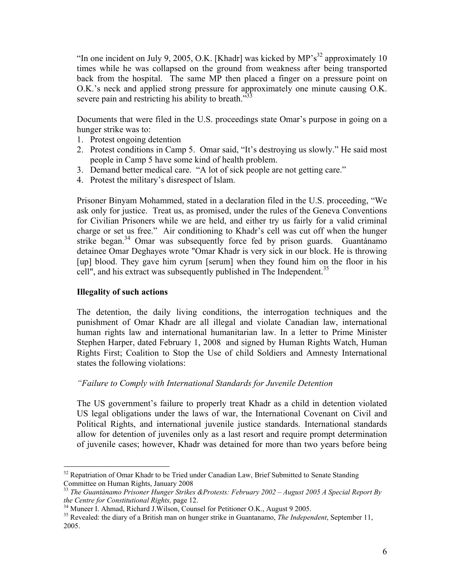"In one incident on July 9, 2005, O.K. [Khadr] was kicked by  $MP's<sup>32</sup>$  approximately 10 times while he was collapsed on the ground from weakness after being transported back from the hospital. The same MP then placed a finger on a pressure point on O.K.'s neck and applied strong pressure for approximately one minute causing O.K. severe pain and restricting his ability to breath.<sup>333</sup>

Documents that were filed in the U.S. proceedings state Omar's purpose in going on a hunger strike was to:

- 1. Protest ongoing detention
- 2. Protest conditions in Camp 5. Omar said, "It's destroying us slowly." He said most people in Camp 5 have some kind of health problem.
- 3. Demand better medical care. "A lot of sick people are not getting care."
- 4. Protest the military's disrespect of Islam.

Prisoner Binyam Mohammed, stated in a declaration filed in the U.S. proceeding, "We ask only for justice. Treat us, as promised, under the rules of the Geneva Conventions for Civilian Prisoners while we are held, and either try us fairly for a valid criminal charge or set us free." Air conditioning to Khadr's cell was cut off when the hunger strike began.<sup>34</sup> Omar was subsequently force fed by prison guards. Guantánamo detainee Omar Deghayes wrote "Omar Khadr is very sick in our block. He is throwing [up] blood. They gave him cyrum [serum] when they found him on the floor in his cell", and his extract was subsequently published in The Independent.<sup>35</sup>

#### **Illegality of such actions**

 $\overline{a}$ 

The detention, the daily living conditions, the interrogation techniques and the punishment of Omar Khadr are all illegal and violate Canadian law, international human rights law and international humanitarian law. In a letter to Prime Minister Stephen Harper, dated February 1, 2008 and signed by Human Rights Watch, Human Rights First; Coalition to Stop the Use of child Soldiers and Amnesty International states the following violations:

#### *"Failure to Comply with International Standards for Juvenile Detention*

The US government's failure to properly treat Khadr as a child in detention violated US legal obligations under the laws of war, the International Covenant on Civil and Political Rights, and international juvenile justice standards. International standards allow for detention of juveniles only as a last resort and require prompt determination of juvenile cases; however, Khadr was detained for more than two years before being

 $32$  Repatriation of Omar Khadr to be Tried under Canadian Law, Brief Submitted to Senate Standing Committee on Human Rights, January 2008

<sup>33</sup> *The Guantánamo Prisoner Hunger Strikes &Protests: February 2002 – August 2005 A Special Report By the Centre for Constitutional Rights, page 12.* <sup>34</sup> Muneer I. Ahmad, Richard J.Wilson, Counsel for Petitioner O.K., August 9 2005.

<sup>35</sup> Revealed: the diary of a British man on hunger strike in Guantanamo, *The Independent*, September 11, 2005.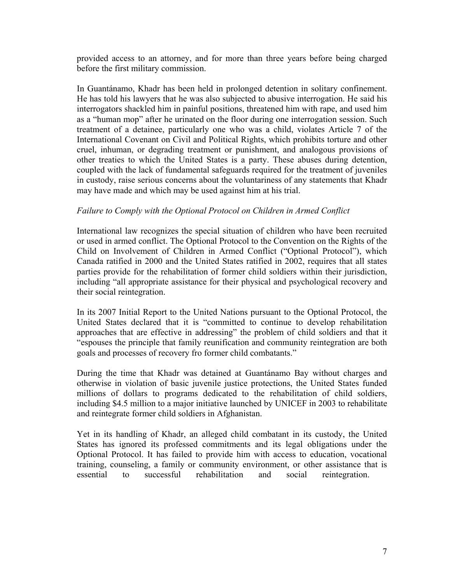provided access to an attorney, and for more than three years before being charged before the first military commission.

In Guantánamo, Khadr has been held in prolonged detention in solitary confinement. He has told his lawyers that he was also subjected to abusive interrogation. He said his interrogators shackled him in painful positions, threatened him with rape, and used him as a "human mop" after he urinated on the floor during one interrogation session. Such treatment of a detainee, particularly one who was a child, violates Article 7 of the International Covenant on Civil and Political Rights, which prohibits torture and other cruel, inhuman, or degrading treatment or punishment, and analogous provisions of other treaties to which the United States is a party. These abuses during detention, coupled with the lack of fundamental safeguards required for the treatment of juveniles in custody, raise serious concerns about the voluntariness of any statements that Khadr may have made and which may be used against him at his trial.

## *Failure to Comply with the Optional Protocol on Children in Armed Conflict*

International law recognizes the special situation of children who have been recruited or used in armed conflict. The Optional Protocol to the Convention on the Rights of the Child on Involvement of Children in Armed Conflict ("Optional Protocol"), which Canada ratified in 2000 and the United States ratified in 2002, requires that all states parties provide for the rehabilitation of former child soldiers within their jurisdiction, including "all appropriate assistance for their physical and psychological recovery and their social reintegration.

In its 2007 Initial Report to the United Nations pursuant to the Optional Protocol, the United States declared that it is "committed to continue to develop rehabilitation approaches that are effective in addressing" the problem of child soldiers and that it "espouses the principle that family reunification and community reintegration are both goals and processes of recovery fro former child combatants."

During the time that Khadr was detained at Guantánamo Bay without charges and otherwise in violation of basic juvenile justice protections, the United States funded millions of dollars to programs dedicated to the rehabilitation of child soldiers, including \$4.5 million to a major initiative launched by UNICEF in 2003 to rehabilitate and reintegrate former child soldiers in Afghanistan.

Yet in its handling of Khadr, an alleged child combatant in its custody, the United States has ignored its professed commitments and its legal obligations under the Optional Protocol. It has failed to provide him with access to education, vocational training, counseling, a family or community environment, or other assistance that is essential to successful rehabilitation and social reintegration.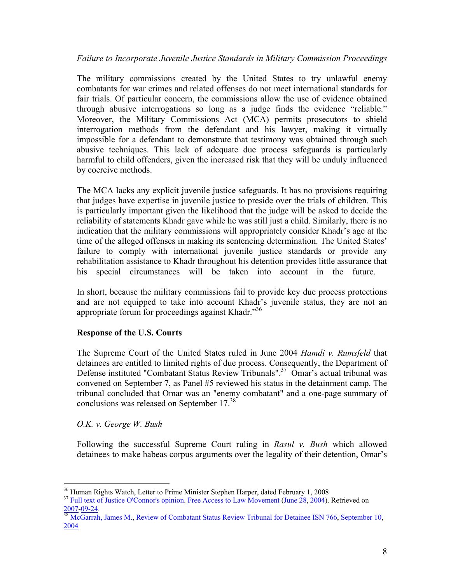# *Failure to Incorporate Juvenile Justice Standards in Military Commission Proceedings*

The military commissions created by the United States to try unlawful enemy combatants for war crimes and related offenses do not meet international standards for fair trials. Of particular concern, the commissions allow the use of evidence obtained through abusive interrogations so long as a judge finds the evidence "reliable." Moreover, the Military Commissions Act (MCA) permits prosecutors to shield interrogation methods from the defendant and his lawyer, making it virtually impossible for a defendant to demonstrate that testimony was obtained through such abusive techniques. This lack of adequate due process safeguards is particularly harmful to child offenders, given the increased risk that they will be unduly influenced by coercive methods.

The MCA lacks any explicit juvenile justice safeguards. It has no provisions requiring that judges have expertise in juvenile justice to preside over the trials of children. This is particularly important given the likelihood that the judge will be asked to decide the reliability of statements Khadr gave while he was still just a child. Similarly, there is no indication that the military commissions will appropriately consider Khadr's age at the time of the alleged offenses in making its sentencing determination. The United States' failure to comply with international juvenile justice standards or provide any rehabilitation assistance to Khadr throughout his detention provides little assurance that his special circumstances will be taken into account in the future.

In short, because the military commissions fail to provide key due process protections and are not equipped to take into account Khadr's juvenile status, they are not an appropriate forum for proceedings against Khadr."<sup>36</sup>

# **Response of the U.S. Courts**

The Supreme Court of the United States ruled in June 2004 *Hamdi v. Rumsfeld* that detainees are entitled to limited rights of due process. Consequently, the Department of Defense instituted "Combatant Status Review Tribunals".<sup>37</sup> Omar's actual tribunal was convened on September 7, as Panel #5 reviewed his status in the detainment camp. The tribunal concluded that Omar was an "enemy combatant" and a one-page summary of conclusions was released on September 17.38

*O.K. v. George W. Bush*

 $\overline{a}$ 

Following the successful Supreme Court ruling in *Rasul v. Bush* which allowed detainees to make habeas corpus arguments over the legality of their detention, Omar's

<sup>&</sup>lt;sup>36</sup> Human Rights Watch, Letter to Prime Minister Stephen Harper, dated February 1, 2008

<sup>&</sup>lt;sup>37</sup> Full text of Justice O'Connor's opinion. Free Access to Law Movement (June 28, 2004). Retrieved on 2007-09-24. 38 McGarrah, James M., Review of Combatant Status Review Tribunal for Detainee ISN 766, September 10,

<sup>2004</sup>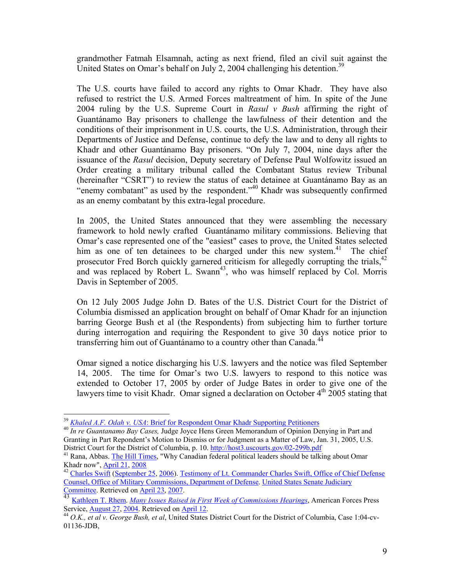grandmother Fatmah Elsamnah, acting as next friend, filed an civil suit against the United States on Omar's behalf on July 2, 2004 challenging his detention.<sup>39</sup>

The U.S. courts have failed to accord any rights to Omar Khadr. They have also refused to restrict the U.S. Armed Forces maltreatment of him. In spite of the June 2004 ruling by the U.S. Supreme Court in *Rasul v Bush* affirming the right of Guantánamo Bay prisoners to challenge the lawfulness of their detention and the conditions of their imprisonment in U.S. courts, the U.S. Administration, through their Departments of Justice and Defense, continue to defy the law and to deny all rights to Khadr and other Guantánamo Bay prisoners. "On July 7, 2004, nine days after the issuance of the *Rasul* decision, Deputy secretary of Defense Paul Wolfowitz issued an Order creating a military tribunal called the Combatant Status review Tribunal (hereinafter "CSRT") to review the status of each detainee at Guantánamo Bay as an "enemy combatant" as used by the respondent."<sup>40</sup> Khadr was subsequently confirmed as an enemy combatant by this extra-legal procedure.

In 2005, the United States announced that they were assembling the necessary framework to hold newly crafted Guantánamo military commissions. Believing that Omar's case represented one of the "easiest" cases to prove, the United States selected him as one of ten detainees to be charged under this new system.<sup>41</sup> The chief prosecutor Fred Borch quickly garnered criticism for allegedly corrupting the trials,<sup>42</sup> and was replaced by Robert L. Swann<sup>43</sup>, who was himself replaced by Col. Morris Davis in September of 2005.

On 12 July 2005 Judge John D. Bates of the U.S. District Court for the District of Columbia dismissed an application brought on behalf of Omar Khadr for an injunction barring George Bush et al (the Respondents) from subjecting him to further torture during interrogation and requiring the Respondent to give 30 days notice prior to transferring him out of Guantánamo to a country other than Canada.<sup>44</sup>

Omar signed a notice discharging his U.S. lawyers and the notice was filed September 14, 2005. The time for Omar's two U.S. lawyers to respond to this notice was extended to October 17, 2005 by order of Judge Bates in order to give one of the lawyers time to visit Khadr. Omar signed a declaration on October  $4<sup>th</sup>$  2005 stating that

<sup>&</sup>lt;sup>39</sup> *Khaled A.F. Odah v. USA*: Brief for Respondent Omar Khadr Supporting Petitioners<br><sup>40</sup> *In re Guantanamo Bay Cases, Judge Joyce Hens Green Memorandum of Opinion Denying in Part and* Granting in Part Repondent's Motion to Dismiss or for Judgment as a Matter of Law, Jan. 31, 2005, U.S.

District Court for the District of Columbia, p. 10. http://host3.uscourts.gov/02-299b.pdf<br><sup>41</sup> Rana, Abbas. <u>The Hill Times</u>, "Why Canadian federal political leaders should be talking about Omar<br>Khadr now", April 21, 2008

<sup>&</sup>lt;sup>42</sup> Charles Swift (September 25, 2006). Testimony of Lt. Commander Charles Swift, Office of Chief Defense Counsel, Office of Military Commissions, Department of Defense. United States Senate Judiciary Committee. Retrieved on April 23, 2007.

<sup>&</sup>lt;sup>43</sup> Kathleen T. Rhem. *Many Issues Raised in First Week of Commissions Hearings*, American Forces Press

Service, <u>August 27, 2004</u>. Retrieved on April 12.<br><sup>44</sup> *O.K., et al v. George Bush, et al*, United States District Court for the District of Columbia, Case 1:04-cv-01136-JDB,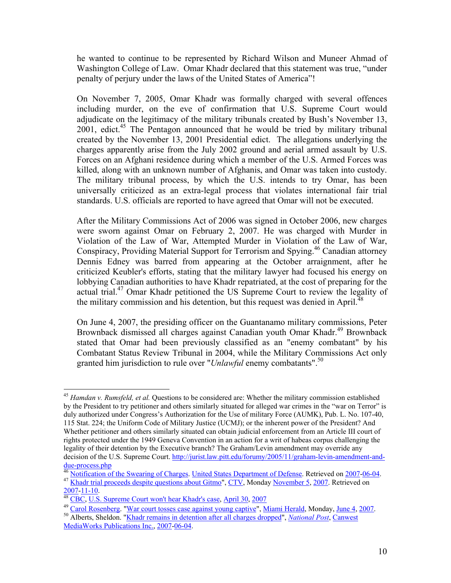he wanted to continue to be represented by Richard Wilson and Muneer Ahmad of Washington College of Law. Omar Khadr declared that this statement was true, "under penalty of perjury under the laws of the United States of America"!

On November 7, 2005, Omar Khadr was formally charged with several offences including murder, on the eve of confirmation that U.S. Supreme Court would adjudicate on the legitimacy of the military tribunals created by Bush's November 13, 2001, edict.<sup>45</sup> The Pentagon announced that he would be tried by military tribunal created by the November 13, 2001 Presidential edict. The allegations underlying the charges apparently arise from the July 2002 ground and aerial armed assault by U.S. Forces on an Afghani residence during which a member of the U.S. Armed Forces was killed, along with an unknown number of Afghanis, and Omar was taken into custody. The military tribunal process, by which the U.S. intends to try Omar, has been universally criticized as an extra-legal process that violates international fair trial standards. U.S. officials are reported to have agreed that Omar will not be executed.

After the Military Commissions Act of 2006 was signed in October 2006, new charges were sworn against Omar on February 2, 2007. He was charged with Murder in Violation of the Law of War, Attempted Murder in Violation of the Law of War, Conspiracy, Providing Material Support for Terrorism and Spying.46 Canadian attorney Dennis Edney was barred from appearing at the October arraignment, after he criticized Keubler's efforts, stating that the military lawyer had focused his energy on lobbying Canadian authorities to have Khadr repatriated, at the cost of preparing for the actual trial.47 Omar Khadr petitioned the US Supreme Court to review the legality of the military commission and his detention, but this request was denied in April.<sup>48</sup>

On June 4, 2007, the presiding officer on the Guantanamo military commissions, Peter Brownback dismissed all charges against Canadian youth Omar Khadr.<sup>49</sup> Brownback stated that Omar had been previously classified as an "enemy combatant" by his Combatant Status Review Tribunal in 2004, while the Military Commissions Act only granted him jurisdiction to rule over "*Unlawful* enemy combatants".50

 $\overline{a}$ <sup>45</sup> *Hamdan v. Rumsfeld, et al.* Questions to be considered are: Whether the military commission established by the President to try petitioner and others similarly situated for alleged war crimes in the "war on Terror" is duly authorized under Congress's Authorization for the Use of military Force (AUMK), Pub. L. No. 107-40, 115 Stat. 224; the Uniform Code of Military Justice (UCMJ); or the inherent power of the President? And Whether petitioner and others similarly situated can obtain judicial enforcement from an Article III court of rights protected under the 1949 Geneva Convention in an action for a writ of habeas corpus challenging the legality of their detention by the Executive branch? The Graham/Levin amendment may override any decision of the U.S. Supreme Court. http://jurist.law.pitt.edu/forumy/2005/11/graham-levin-amendment-anddue-process.php<br><sup>46</sup> Notification of the Swearing of Charges. United States Department of Defense. Retrieved on 2007-06-04.

<sup>&</sup>lt;sup>47</sup> Khadr trial proceeds despite questions about Gitmo", CTV, Monday November 5, 2007. Retrieved on 2007-11-10.

<sup>&</sup>lt;sup>48</sup> CBC, U.S. Supreme Court won't hear Khadr's case, April 30, 2007

<sup>49</sup> Carol Rosenberg. "War court tosses case against young captive", Miami Herald, Monday, June 4, 2007. 50 Alberts, Sheldon. "Khadr remains in detention after all charges dropped", *National Post*, Canwest MediaWorks Publications Inc., 2007-06-04.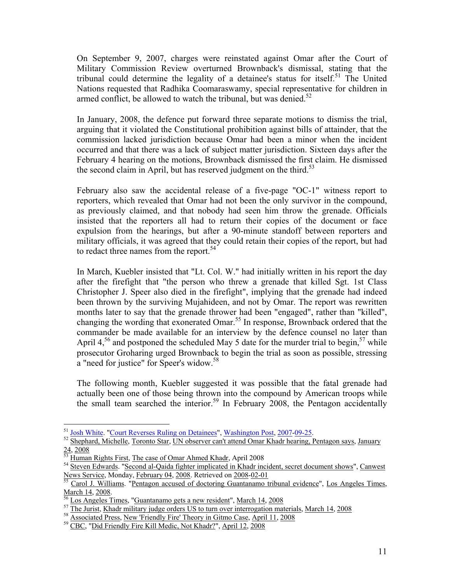On September 9, 2007, charges were reinstated against Omar after the Court of Military Commission Review overturned Brownback's dismissal, stating that the tribunal could determine the legality of a detainee's status for itself.<sup>51</sup> The United Nations requested that Radhika Coomaraswamy, special representative for children in armed conflict, be allowed to watch the tribunal, but was denied.<sup>52</sup>

In January, 2008, the defence put forward three separate motions to dismiss the trial, arguing that it violated the Constitutional prohibition against bills of attainder, that the commission lacked jurisdiction because Omar had been a minor when the incident occurred and that there was a lack of subject matter jurisdiction. Sixteen days after the February 4 hearing on the motions, Brownback dismissed the first claim. He dismissed the second claim in April, but has reserved judgment on the third.<sup>53</sup>

February also saw the accidental release of a five-page "OC-1" witness report to reporters, which revealed that Omar had not been the only survivor in the compound, as previously claimed, and that nobody had seen him throw the grenade. Officials insisted that the reporters all had to return their copies of the document or face expulsion from the hearings, but after a 90-minute standoff between reporters and military officials, it was agreed that they could retain their copies of the report, but had to redact three names from the report.<sup>54</sup>

In March, Kuebler insisted that "Lt. Col. W." had initially written in his report the day after the firefight that "the person who threw a grenade that killed Sgt. 1st Class Christopher J. Speer also died in the firefight", implying that the grenade had indeed been thrown by the surviving Mujahideen, and not by Omar. The report was rewritten months later to say that the grenade thrower had been "engaged", rather than "killed", changing the wording that exonerated Omar.55 In response, Brownback ordered that the commander be made available for an interview by the defence counsel no later than April  $4,56$  and postponed the scheduled May 5 date for the murder trial to begin,  $57$  while prosecutor Groharing urged Brownback to begin the trial as soon as possible, stressing a "need for justice" for Speer's widow.<sup>58</sup>

The following month, Kuebler suggested it was possible that the fatal grenade had actually been one of those being thrown into the compound by American troops while the small team searched the interior.<sup>59</sup> In February 2008, the Pentagon accidentally

<sup>&</sup>lt;sup>51</sup> Josh White. "Court Reverses Ruling on Detainees", Washington Post, 2007-09-25.<br><sup>52</sup> Shephard, Michelle, Toronto Star, UN observer can't attend Omar Khadr hearing, Pentagon says, January<br><sup>24</sup> Shephard, Nichelle, Toron

<sup>&</sup>lt;sup>53</sup> Human Rights First, The case of Omar Ahmed Khadr, April 2008<br><sup>54</sup> Steven Edwards. "Second al-Qaida fighter implicated in Khadr incident, secret document shows", Canwest<br>News Service, Monday, February 04, 2008. Retrie

 $^{55}$  Carol J. Williams. "Pentagon accused of doctoring Guantanamo tribunal evidence", Los Angeles Times, March 14, 2008.

<sup>&</sup>lt;sup>56</sup> Los Angeles Times, "Guantanamo gets a new resident", March 14, 2008<br>
<sup>57</sup> The Jurist, Khadr military judge orders US to turn over interrogation materials, March 14, 2008<br>
<sup>58</sup> Associated Press, New 'Friendly Fire' Th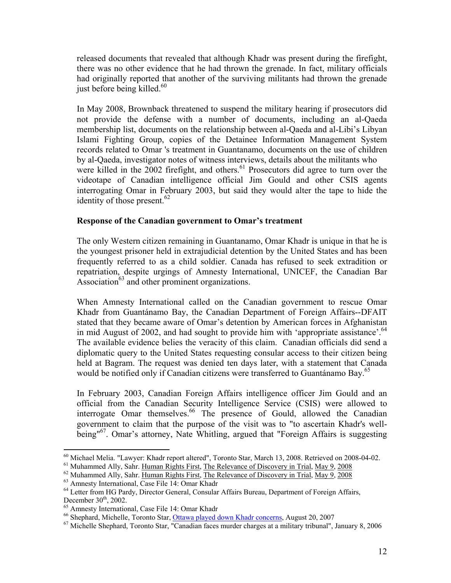released documents that revealed that although Khadr was present during the firefight, there was no other evidence that he had thrown the grenade. In fact, military officials had originally reported that another of the surviving militants had thrown the grenade just before being killed. $60$ 

In May 2008, Brownback threatened to suspend the military hearing if prosecutors did not provide the defense with a number of documents, including an al-Qaeda membership list, documents on the relationship between al-Qaeda and al-Libi's Libyan Islami Fighting Group, copies of the Detainee Information Management System records related to Omar 's treatment in Guantanamo, documents on the use of children by al-Qaeda, investigator notes of witness interviews, details about the militants who were killed in the 2002 firefight, and others.<sup>61</sup> Prosecutors did agree to turn over the videotape of Canadian intelligence official Jim Gould and other CSIS agents interrogating Omar in February 2003, but said they would alter the tape to hide the identity of those present. $62$ 

#### **Response of the Canadian government to Omar's treatment**

The only Western citizen remaining in Guantanamo, Omar Khadr is unique in that he is the youngest prisoner held in extrajudicial detention by the United States and has been frequently referred to as a child soldier. Canada has refused to seek extradition or repatriation, despite urgings of Amnesty International, UNICEF, the Canadian Bar Association $^{63}$  and other prominent organizations.

When Amnesty International called on the Canadian government to rescue Omar Khadr from Guantánamo Bay, the Canadian Department of Foreign Affairs--DFAIT stated that they became aware of Omar's detention by American forces in Afghanistan in mid August of 2002, and had sought to provide him with 'appropriate assistance'.<sup>64</sup> The available evidence belies the veracity of this claim. Canadian officials did send a diplomatic query to the United States requesting consular access to their citizen being held at Bagram. The request was denied ten days later, with a statement that Canada would be notified only if Canadian citizens were transferred to Guantánamo Bay.<sup>65</sup>

In February 2003, Canadian Foreign Affairs intelligence officer Jim Gould and an official from the Canadian Security Intelligence Service (CSIS) were allowed to interrogate Omar themselves.<sup>66</sup> The presence of Gould, allowed the Canadian government to claim that the purpose of the visit was to "to ascertain Khadr's wellbeing"<sup>67</sup>. Omar's attorney, Nate Whitling, argued that "Foreign Affairs is suggesting

 $^{60}$  Michael Melia. "Lawyer: Khadr report altered", Toronto Star, March 13, 2008. Retrieved on 2008-04-02.<br><sup>61</sup> Muhammed Ally, Sahr. <u>Human Rights First, The Relevance of Discovery in Trial, May 9, 2008</u>

 $^{62}$  Muhammed Ally, Sahr. Human Rights First, The Relevance of Discovery in Trial, May 9, 2008<br> $^{63}$  Amnesty International, Case File 14: Omar Khadr

 $64$  Letter from HG Pardy, Director General, Consular Affairs Bureau, Department of Foreign Affairs, December  $30<sup>th</sup>$ , 2002.

<sup>&</sup>lt;sup>65</sup> Amnesty International, Case File 14: Omar Khadr<br><sup>66</sup> Shephard, Michelle, Toronto Star, <u>Ottawa played down Khadr concerns</u>, August 20, 2007

 $67$  Michelle Shephard, Toronto Star, "Canadian faces murder charges at a military tribunal", January 8, 2006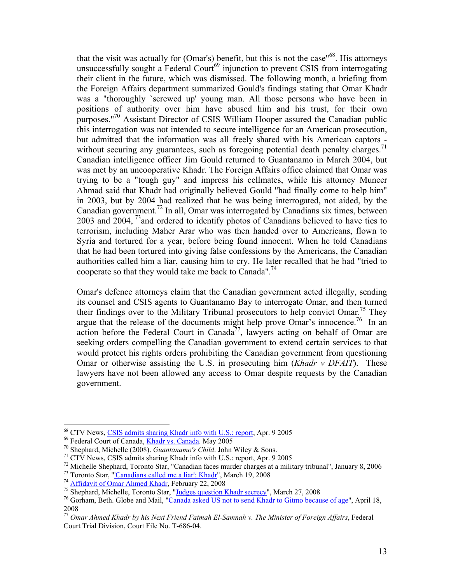that the visit was actually for (Omar's) benefit, but this is not the case"<sup>68</sup>. His attorneys unsuccessfully sought a Federal Court<sup>69</sup> injunction to prevent CSIS from interrogating their client in the future, which was dismissed. The following month, a briefing from the Foreign Affairs department summarized Gould's findings stating that Omar Khadr was a "thoroughly `screwed up' young man. All those persons who have been in positions of authority over him have abused him and his trust, for their own purposes."<sup>70</sup> Assistant Director of CSIS William Hooper assured the Canadian public this interrogation was not intended to secure intelligence for an American prosecution, but admitted that the information was all freely shared with his American captors without securing any guarantees, such as foregoing potential death penalty charges.<sup>71</sup> Canadian intelligence officer Jim Gould returned to Guantanamo in March 2004, but was met by an uncooperative Khadr. The Foreign Affairs office claimed that Omar was trying to be a "tough guy" and impress his cellmates, while his attorney Muneer Ahmad said that Khadr had originally believed Gould "had finally come to help him" in 2003, but by 2004 had realized that he was being interrogated, not aided, by the Canadian government.72 In all, Omar was interrogated by Canadians six times, between 2003 and 2004,  $^{73}$  and ordered to identify photos of Canadians believed to have ties to terrorism, including Maher Arar who was then handed over to Americans, flown to Syria and tortured for a year, before being found innocent. When he told Canadians that he had been tortured into giving false confessions by the Americans, the Canadian authorities called him a liar, causing him to cry. He later recalled that he had "tried to cooperate so that they would take me back to Canada".<sup>74</sup>

Omar's defence attorneys claim that the Canadian government acted illegally, sending its counsel and CSIS agents to Guantanamo Bay to interrogate Omar, and then turned their findings over to the Military Tribunal prosecutors to help convict Omar.<sup>75</sup> They argue that the release of the documents might help prove Omar's innocence.<sup>76</sup> In an action before the Federal Court in Canada<sup>77</sup>, lawyers acting on behalf of Omar are seeking orders compelling the Canadian government to extend certain services to that would protect his rights orders prohibiting the Canadian government from questioning Omar or otherwise assisting the U.S. in prosecuting him (*Khadr v DFAIT*). These lawyers have not been allowed any access to Omar despite requests by the Canadian government.

<sup>&</sup>lt;sup>68</sup> CTV News, CSIS admits sharing Khadr info with U.S.: report, Apr. 9 2005<br><sup>69</sup> Federal Court of Canada, <u>Khadr vs. Canada</u>. May 2005<br><sup>70</sup> Shephard, Michelle (2008). *Guantanamo's Child*. John Wiley & Sons.<br><sup>71</sup> CTV New

<sup>2008</sup> 

<sup>77</sup> *Omar Ahmed Khadr by his Next Friend Fatmah El-Samnah v. The Minister of Foreign Affairs*, Federal Court Trial Division, Court File No. T-686-04.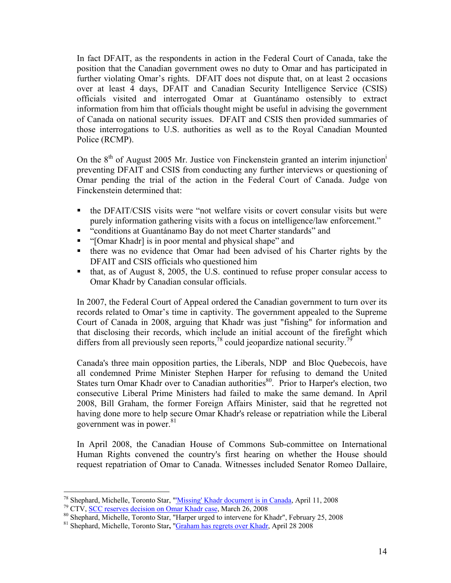In fact DFAIT, as the respondents in action in the Federal Court of Canada, take the position that the Canadian government owes no duty to Omar and has participated in further violating Omar's rights. DFAIT does not dispute that, on at least 2 occasions over at least 4 days, DFAIT and Canadian Security Intelligence Service (CSIS) officials visited and interrogated Omar at Guantánamo ostensibly to extract information from him that officials thought might be useful in advising the government of Canada on national security issues. DFAIT and CSIS then provided summaries of those interrogations to U.S. authorities as well as to the Royal Canadian Mounted Police (RCMP).

On the 8<sup>th</sup> of August 2005 Mr. Justice von Finckenstein granted an interim injunction<sup>i</sup> preventing DFAIT and CSIS from conducting any further interviews or questioning of Omar pending the trial of the action in the Federal Court of Canada. Judge von Finckenstein determined that:

- the DFAIT/CSIS visits were "not welfare visits or covert consular visits but were purely information gathering visits with a focus on intelligence/law enforcement."
- "conditions at Guantánamo Bay do not meet Charter standards" and
- "[Omar Khadr] is in poor mental and physical shape" and
- there was no evidence that Omar had been advised of his Charter rights by the DFAIT and CSIS officials who questioned him
- that, as of August 8, 2005, the U.S. continued to refuse proper consular access to Omar Khadr by Canadian consular officials.

In 2007, the Federal Court of Appeal ordered the Canadian government to turn over its records related to Omar's time in captivity. The government appealed to the Supreme Court of Canada in 2008, arguing that Khadr was just "fishing" for information and that disclosing their records, which include an initial account of the firefight which differs from all previously seen reports,<sup>78</sup> could jeopardize national security.<sup>79</sup>

Canada's three main opposition parties, the Liberals, NDP and Bloc Quebecois, have all condemned Prime Minister Stephen Harper for refusing to demand the United States turn Omar Khadr over to Canadian authorities<sup>80</sup>. Prior to Harper's election, two consecutive Liberal Prime Ministers had failed to make the same demand. In April 2008, Bill Graham, the former Foreign Affairs Minister, said that he regretted not having done more to help secure Omar Khadr's release or repatriation while the Liberal government was in power.<sup>81</sup>

In April 2008, the Canadian House of Commons Sub-committee on International Human Rights convened the country's first hearing on whether the House should request repatriation of Omar to Canada. Witnesses included Senator Romeo Dallaire,

<sup>&</sup>lt;sup>78</sup> Shephard, Michelle, Toronto Star, "*Missing' Khadr document is in Canada*, April 11, 2008

<sup>&</sup>lt;sup>79</sup> CTV, <u>SCC reserves decision on Omar Khadr case</u>, March 26, 2008<br><sup>80</sup> Shephard, Michelle, Toronto Star, "Harper urged to intervene for Khadr", February 25, 2008

<sup>81</sup> Shephard, Michelle, Toronto Star**,** "Graham has regrets over Khadr, April 28 2008